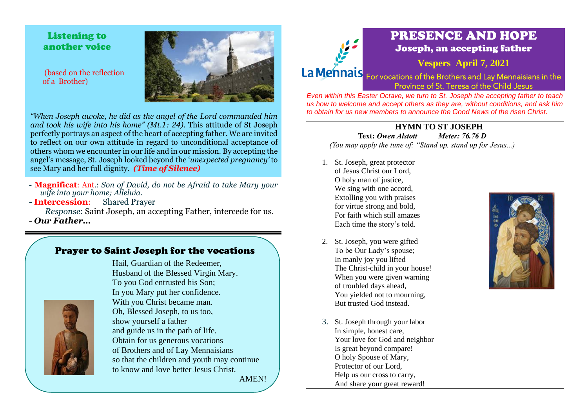Listening to another voice

(based on the reflection of a Brother)



- **- Magnificat**: Ant.: *Son of David, do not be Afraid to take Mary your wife into your home; Alleluia.*
- **- Intercession**: Shared Prayer

*Response*: Saint Joseph, an accepting Father, intercede for us.

*- Our Father…*

## Prayer to Saint Joseph for the vocations

Hail, Guardian of the Redeemer,



Husband of the Blessed Virgin Mary. To you God entrusted his Son; In you Mary put her confidence. With you Christ became man. Oh, Blessed Joseph, to us too, show yourself a father and guide us in the path of life. Obtain for us generous vocations of Brothers and of Lay Mennaisians so that the children and youth may continue to know and love better Jesus Christ.

AMEN!



# PRESENCE AND HOPE Joseph, an accepting father

**Vespers April 7, 2021**

La Mennais For vocations of the Brothers and Lay Mennaisians in the Province of St. Teresa of the Child Jesus

*Even within this Easter Octave, we turn to St. Joseph the accepting father to teach us how to welcome and accept others as they are, without conditions, and ask him to obtain for us new members to announce the Good News of the risen Christ.*

#### **HYMN TO ST JOSEPH Text:** *Owen Alstott Meter: 76.76 D*

*(You may apply the tune of: "Stand up, stand up for Jesus...)*

- 1. St. Joseph, great protector of Jesus Christ our Lord, O holy man of justice, We sing with one accord, Extolling you with praises for virtue strong and bold, For faith which still amazes Each time the story's told.
- 2. St. Joseph, you were gifted To be Our Lady's spouse; In manly joy you lifted The Christ-child in your house! When you were given warning of troubled days ahead, You yielded not to mourning, But trusted God instead.
- 3. St. Joseph through your labor In simple, honest care, Your love for God and neighbor Is great beyond compare! O holy Spouse of Mary, Protector of our Lord, Help us our cross to carry, And share your great reward!